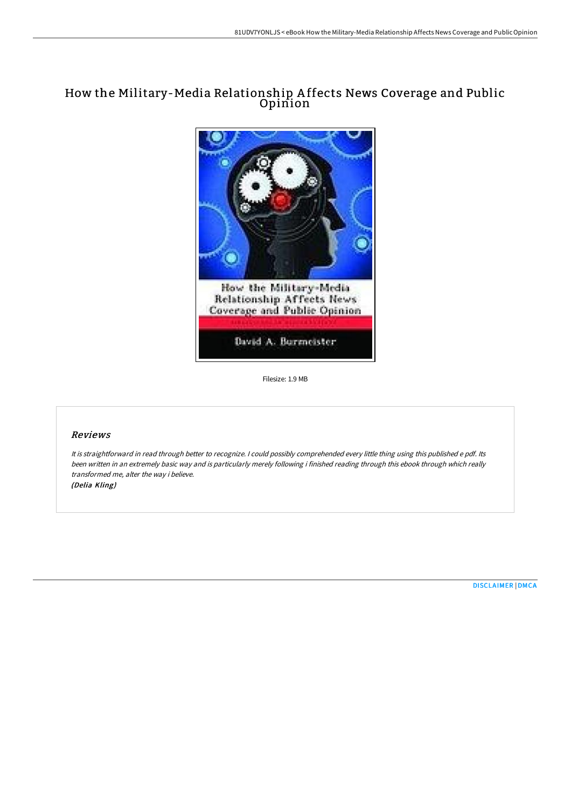## How the Military-Media Relationship A ffects News Coverage and Public Opinion



Filesize: 1.9 MB

## Reviews

It is straightforward in read through better to recognize. <sup>I</sup> could possibly comprehended every little thing using this published <sup>e</sup> pdf. Its been written in an extremely basic way and is particularly merely following i finished reading through this ebook through which really transformed me, alter the way i believe.

(Delia Kling)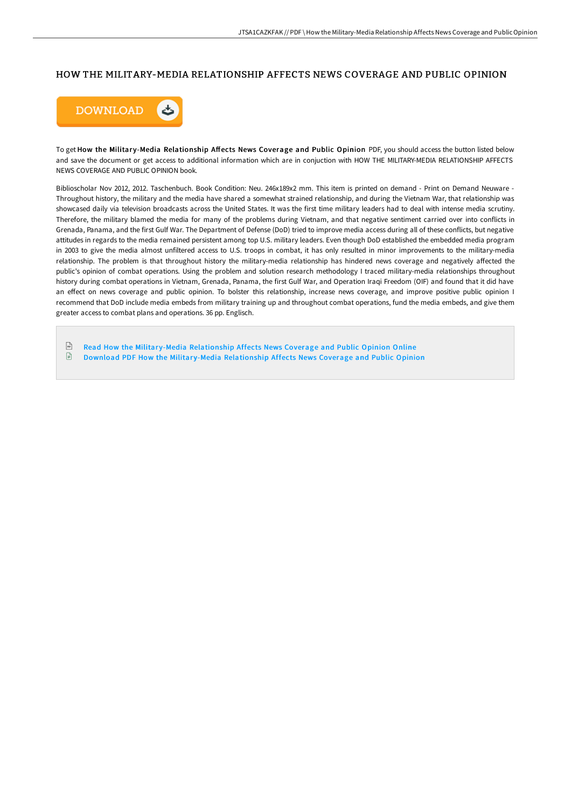## HOW THE MILITARY-MEDIA RELATIONSHIP AFFECTS NEWS COVERAGE AND PUBLIC OPINION



To get How the Military-Media Relationship Affects News Coverage and Public Opinion PDF, you should access the button listed below and save the document or get access to additional information which are in conjuction with HOW THE MILITARY-MEDIA RELATIONSHIP AFFECTS NEWS COVERAGE AND PUBLIC OPINION book.

Biblioscholar Nov 2012, 2012. Taschenbuch. Book Condition: Neu. 246x189x2 mm. This item is printed on demand - Print on Demand Neuware - Throughout history, the military and the media have shared a somewhat strained relationship, and during the Vietnam War, that relationship was showcased daily via television broadcasts across the United States. It was the first time military leaders had to deal with intense media scrutiny. Therefore, the military blamed the media for many of the problems during Vietnam, and that negative sentiment carried over into conflicts in Grenada, Panama, and the first Gulf War. The Department of Defense (DoD) tried to improve media access during all of these conflicts, but negative attitudes in regards to the media remained persistent among top U.S. military leaders. Even though DoD established the embedded media program in 2003 to give the media almost unfiltered access to U.S. troops in combat, it has only resulted in minor improvements to the military-media relationship. The problem is that throughout history the military-media relationship has hindered news coverage and negatively affected the public's opinion of combat operations. Using the problem and solution research methodology I traced military-media relationships throughout history during combat operations in Vietnam, Grenada, Panama, the first Gulf War, and Operation Iraqi Freedom (OIF) and found that it did have an effect on news coverage and public opinion. To bolster this relationship, increase news coverage, and improve positive public opinion I recommend that DoD include media embeds from military training up and throughout combat operations, fund the media embeds, and give them greater access to combat plans and operations. 36 pp. Englisch.

 $\frac{1}{16}$ Read How the Military-Media [Relationship](http://bookera.tech/how-the-military-media-relationship-affects-news.html) Affects News Coverage and Public Opinion Online  $\mathbf{E}$ Download PDF How the Military-Media [Relationship](http://bookera.tech/how-the-military-media-relationship-affects-news.html) Affects News Coverage and Public Opinion